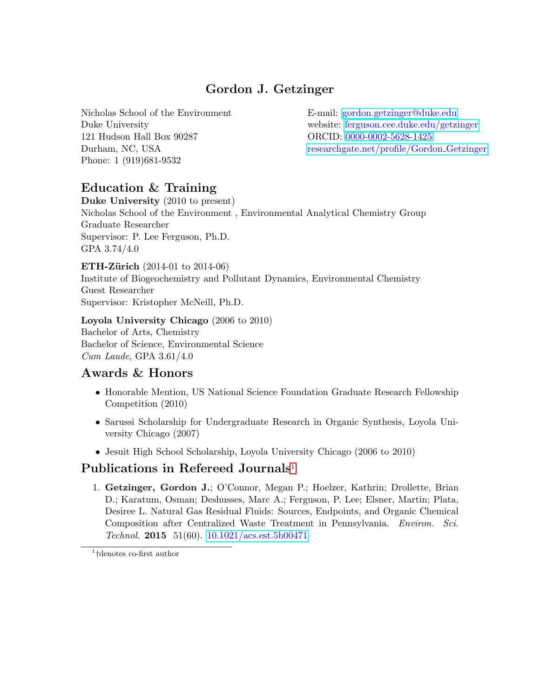# Gordon J. Getzinger

Nicholas School of the Environment Duke University 121 Hudson Hall Box 90287 Durham, NC, USA Phone: 1 (919)681-9532

E-mail: [gordon.getzinger@duke.edu](mailto:gjg3@duke.edu) website: [ferguson.cee.duke.edu/getzinger](http://ferguson.cee.duke.edu/getzinger) ORCID: [0000-0002-5628-1425](http://orcid.org/0000-0002-5628-1425?lang=en) [researchgate.net/profile/Gordon](https://www.researchgate.net/profile/Gordon_Getzinger) Getzinger

## Education & Training

Duke University (2010 to present) Nicholas School of the Environment , Environmental Analytical Chemistry Group Graduate Researcher Supervisor: P. Lee Ferguson, Ph.D. GPA 3.74/4.0

**ETH-Zürich** (2014-01 to 2014-06) Institute of Biogeochemistry and Pollutant Dynamics, Environmental Chemistry Guest Researcher Supervisor: Kristopher McNeill, Ph.D.

Loyola University Chicago (2006 to 2010) Bachelor of Arts, Chemistry Bachelor of Science, Environmental Science Cum Laude, GPA 3.61/4.0

### Awards & Honors

- Honorable Mention, US National Science Foundation Graduate Research Fellowship Competition (2010)
- Sarussi Scholarship for Undergraduate Research in Organic Synthesis, Loyola University Chicago (2007)
- Jesuit High School Scholarship, Loyola University Chicago (2006 to 2010)

### Publications in Refereed Journals<sup>[1](#page-0-0)</sup>

1. Getzinger, Gordon J.; O'Connor, Megan P.; Hoelzer, Kathrin; Drollette, Brian D.; Karatum, Osman; Deshusses, Marc A.; Ferguson, P. Lee; Elsner, Martin; Plata, Desiree L. Natural Gas Residual Fluids: Sources, Endpoints, and Organic Chemical Composition after Centralized Waste Treatment in Pennsylvania. Environ. Sci. Technol. 2015 51(60). [10.1021/acs.est.5b00471](http://dx.doi.org/10.1021/acs.est.5b00471)

<span id="page-0-0"></span>1 †denotes co-first author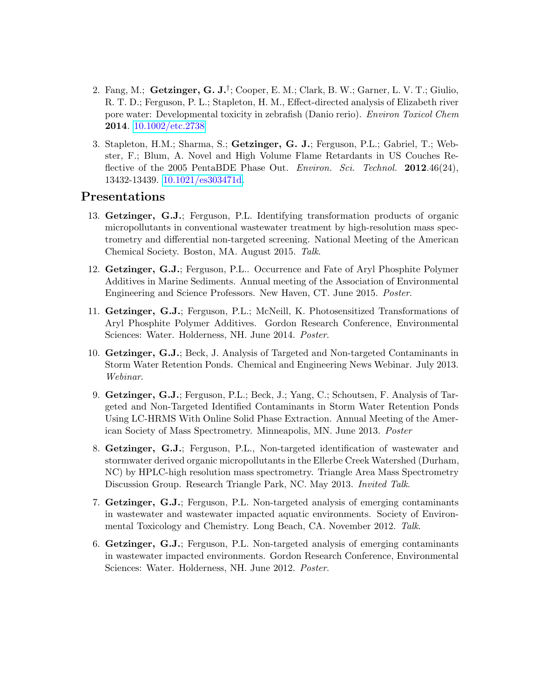- 2. Fang, M.; Getzinger, G. J.<sup>†</sup>; Cooper, E. M.; Clark, B. W.; Garner, L. V. T.; Giulio, R. T. D.; Ferguson, P. L.; Stapleton, H. M., Effect-directed analysis of Elizabeth river pore water: Developmental toxicity in zebrafish (Danio rerio). Environ Toxicol Chem 2014. [10.1002/etc.2738](http://dx.doi.org/10.1002/etc.2738)
- 3. Stapleton, H.M.; Sharma, S.; Getzinger, G. J.; Ferguson, P.L.; Gabriel, T.; Webster, F.; Blum, A. Novel and High Volume Flame Retardants in US Couches Reflective of the 2005 PentaBDE Phase Out. Environ. Sci. Technol. 2012.46(24), 13432-13439. [10.1021/es303471d.](http://dx.doi.org/10.1021/es303471d)

#### Presentations

- 13. Getzinger, G.J.; Ferguson, P.L. Identifying transformation products of organic micropollutants in conventional wastewater treatment by high-resolution mass spectrometry and differential non-targeted screening. National Meeting of the American Chemical Society. Boston, MA. August 2015. Talk.
- 12. Getzinger, G.J.; Ferguson, P.L.. Occurrence and Fate of Aryl Phosphite Polymer Additives in Marine Sediments. Annual meeting of the Association of Environmental Engineering and Science Professors. New Haven, CT. June 2015. Poster.
- 11. Getzinger, G.J.; Ferguson, P.L.; McNeill, K. Photosensitized Transformations of Aryl Phosphite Polymer Additives. Gordon Research Conference, Environmental Sciences: Water. Holderness, NH. June 2014. Poster.
- 10. Getzinger, G.J.; Beck, J. Analysis of Targeted and Non-targeted Contaminants in Storm Water Retention Ponds. Chemical and Engineering News Webinar. July 2013. Webinar.
- 9. Getzinger, G.J.; Ferguson, P.L.; Beck, J.; Yang, C.; Schoutsen, F. Analysis of Targeted and Non-Targeted Identified Contaminants in Storm Water Retention Ponds Using LC-HRMS With Online Solid Phase Extraction. Annual Meeting of the American Society of Mass Spectrometry. Minneapolis, MN. June 2013. Poster
- 8. Getzinger, G.J.; Ferguson, P.L., Non-targeted identification of wastewater and stormwater derived organic micropollutants in the Ellerbe Creek Watershed (Durham, NC) by HPLC-high resolution mass spectrometry. Triangle Area Mass Spectrometry Discussion Group. Research Triangle Park, NC. May 2013. Invited Talk.
- 7. Getzinger, G.J.; Ferguson, P.L. Non-targeted analysis of emerging contaminants in wastewater and wastewater impacted aquatic environments. Society of Environmental Toxicology and Chemistry. Long Beach, CA. November 2012. Talk.
- 6. Getzinger, G.J.; Ferguson, P.L. Non-targeted analysis of emerging contaminants in wastewater impacted environments. Gordon Research Conference, Environmental Sciences: Water. Holderness, NH. June 2012. Poster.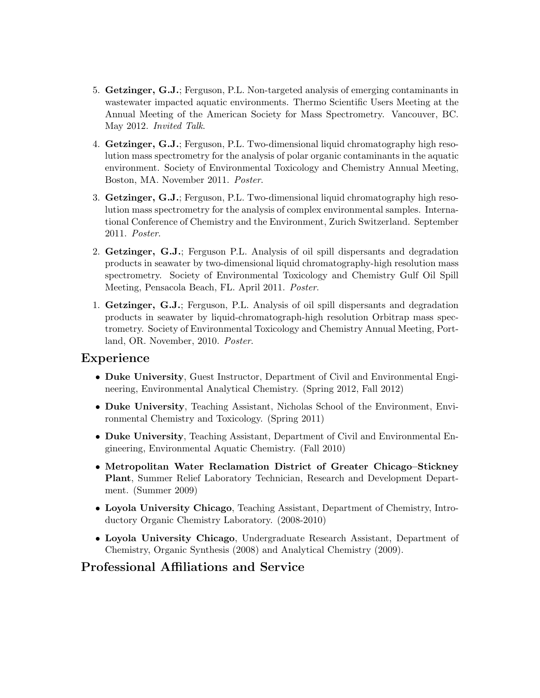- 5. Getzinger, G.J.; Ferguson, P.L. Non-targeted analysis of emerging contaminants in wastewater impacted aquatic environments. Thermo Scientific Users Meeting at the Annual Meeting of the American Society for Mass Spectrometry. Vancouver, BC. May 2012. Invited Talk.
- 4. Getzinger, G.J.; Ferguson, P.L. Two-dimensional liquid chromatography high resolution mass spectrometry for the analysis of polar organic contaminants in the aquatic environment. Society of Environmental Toxicology and Chemistry Annual Meeting, Boston, MA. November 2011. Poster.
- 3. Getzinger, G.J.; Ferguson, P.L. Two-dimensional liquid chromatography high resolution mass spectrometry for the analysis of complex environmental samples. International Conference of Chemistry and the Environment, Zurich Switzerland. September 2011. Poster.
- 2. Getzinger, G.J.; Ferguson P.L. Analysis of oil spill dispersants and degradation products in seawater by two-dimensional liquid chromatography-high resolution mass spectrometry. Society of Environmental Toxicology and Chemistry Gulf Oil Spill Meeting, Pensacola Beach, FL. April 2011. Poster.
- 1. Getzinger, G.J.; Ferguson, P.L. Analysis of oil spill dispersants and degradation products in seawater by liquid-chromatograph-high resolution Orbitrap mass spectrometry. Society of Environmental Toxicology and Chemistry Annual Meeting, Portland, OR. November, 2010. Poster.

### Experience

- Duke University, Guest Instructor, Department of Civil and Environmental Engineering, Environmental Analytical Chemistry. (Spring 2012, Fall 2012)
- Duke University, Teaching Assistant, Nicholas School of the Environment, Environmental Chemistry and Toxicology. (Spring 2011)
- Duke University, Teaching Assistant, Department of Civil and Environmental Engineering, Environmental Aquatic Chemistry. (Fall 2010)
- Metropolitan Water Reclamation District of Greater Chicago–Stickney Plant, Summer Relief Laboratory Technician, Research and Development Department. (Summer 2009)
- Loyola University Chicago, Teaching Assistant, Department of Chemistry, Introductory Organic Chemistry Laboratory. (2008-2010)
- Loyola University Chicago, Undergraduate Research Assistant, Department of Chemistry, Organic Synthesis (2008) and Analytical Chemistry (2009).

### Professional Affiliations and Service